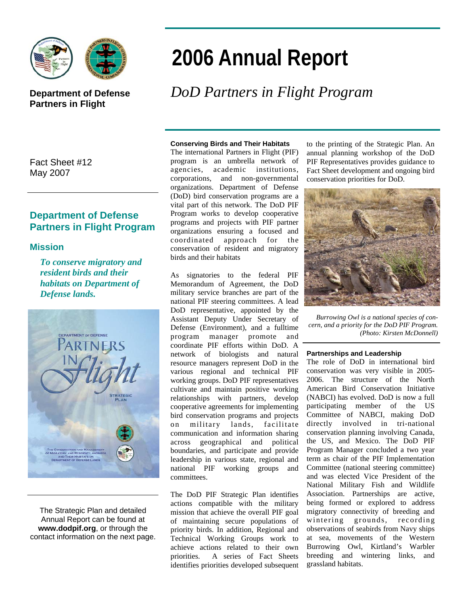

## **Department of Defense Partners in Flight**

Fact Sheet #12 May 2007

### **Department of Defense Partners in Flight Program**

#### **Mission**

*To conserve migratory and resident birds and their habitats on Department of Defense lands.* 



The Strategic Plan and detailed Annual Report can be found at **www.dodpif.org**, or through the contact information on the next page.

# **2006 Annual Report**

# *DoD Partners in Flight Program*

#### **Conserving Birds and Their Habitats**

The international Partners in Flight (PIF) program is an umbrella network of agencies, academic institutions, corporations, and non-governmental organizations. Department of Defense (DoD) bird conservation programs are a vital part of this network. The DoD PIF Program works to develop cooperative programs and projects with PIF partner organizations ensuring a focused and coordinated approach for the conservation of resident and migratory birds and their habitats

As signatories to the federal PIF Memorandum of Agreement, the DoD military service branches are part of the national PIF steering committees. A lead DoD representative, appointed by the Assistant Deputy Under Secretary of Defense (Environment), and a fulltime program manager promote and coordinate PIF efforts within DoD. A network of biologists and natural resource managers represent DoD in the various regional and technical PIF working groups. DoD PIF representatives cultivate and maintain positive working relationships with partners, develop cooperative agreements for implementing bird conservation programs and projects on military lands, facilitate communication and information sharing across geographical and political boundaries, and participate and provide leadership in various state, regional and national PIF working groups and committees.

The DoD PIF Strategic Plan identifies actions compatible with the military mission that achieve the overall PIF goal of maintaining secure populations of priority birds. In addition, Regional and Technical Working Groups work to achieve actions related to their own priorities. A series of Fact Sheets identifies priorities developed subsequent

to the printing of the Strategic Plan. An annual planning workshop of the DoD PIF Representatives provides guidance to Fact Sheet development and ongoing bird conservation priorities for DoD.



*Burrowing Owl is a national species of concern, and a priority for the DoD PIF Program. (Photo: Kirsten McDonnell)* 

#### **Partnerships and Leadership**

The role of DoD in international bird conservation was very visible in 2005- 2006. The structure of the North American Bird Conservation Initiative (NABCI) has evolved. DoD is now a full participating member of the US Committee of NABCI, making DoD directly involved in tri-national conservation planning involving Canada, the US, and Mexico. The DoD PIF Program Manager concluded a two year term as chair of the PIF Implementation Committee (national steering committee) and was elected Vice President of the National Military Fish and Wildlife Association. Partnerships are active, being formed or explored to address migratory connectivity of breeding and wintering grounds, recording observations of seabirds from Navy ships at sea, movements of the Western Burrowing Owl, Kirtland's Warbler breeding and wintering links, and grassland habitats.